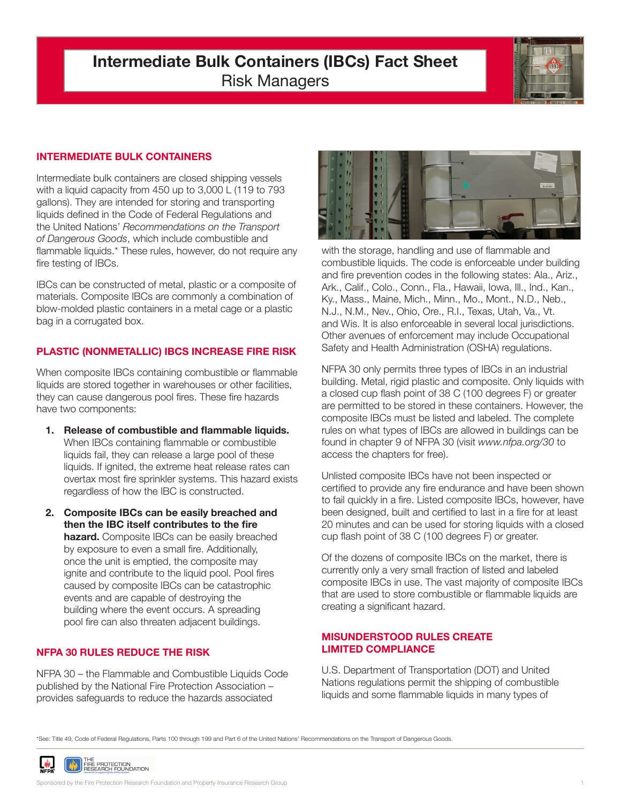# **Intermediate Bulk Containers (IBCs) Fact Sheet** Risk Managers



## **INTERMEDIATE BULK CONTAINERS**

Intermediate bulk containers are closed shipping vessels with a liquid capacity from 450 up to 3,000 L (119 to 793 gallons). They are intended for storing and transporting liquids defined in the Code of Federal Regulations and the United Nations' *Recommendations on the Transport of Dangerous Goods*, which include combustible and flammable liquids.\* These rules, however, do not require any fire testing of IBCs.

IBCs can be constructed of metal, plastic or a composite of materials. Composite IBCs are commonly a combination of blow-molded plastic containers in a metal cage or a plastic bag in a corrugated box.

## **PLASTIC (NONMETALLIC) IBCS INCREASE FIRE RISK**

When composite IBCs containing combustible or flammable liquids are stored together in warehouses or other facilities, they can cause dangerous pool fires. These fire hazards have two components:

- **1. Release of combustible and flammable liquids.** When IBCs containing flammable or combustible liquids fail, they can release a large pool of these liquids. If ignited, the extreme heat release rates can overtax most fire sprinkler systems. This hazard exists regardless of how the IBC is constructed.
- **2. Composite IBCs can be easily breached and then the IBC itself contributes to the fire hazard.** Composite IBCs can be easily breached by exposure to even a small fire. Additionally, once the unit is emptied, the composite may ignite and contribute to the liquid pool. Pool fires caused by composite IBCs can be catastrophic events and are capable of destroying the building where the event occurs. A spreading pool fire can also threaten adjacent buildings.

# **NFPA 30 RULES REDUCE THE RISK**

NFPA 30 – the Flammable and Combustible Liquids Code published by the National Fire Protection Association – provides safeguards to reduce the hazards associated



with the storage, handling and use of flammable and combustible liquids. The code is enforceable under building and fire prevention codes in the following states: Ala., Ariz., Ark., Calif., Colo., Conn., Fla., Hawaii, Iowa, Ill., Ind., Kan., Ky., Mass., Maine, Mich., Minn., Mo., Mont., N.D., Neb., N.J., N.M., Nev., Ohio, Ore., R.I., Texas, Utah, Va., Vt. and Wis. It is also enforceable in several local jurisdictions. Other avenues of enforcement may include Occupational Safety and Health Administration (OSHA) regulations.

NFPA 30 only permits three types of IBCs in an industrial building. Metal, rigid plastic and composite. Only liquids with a closed cup flash point of 38 C (100 degrees F) or greater are permitted to be stored in these containers. However, the composite IBCs must be listed and labeled. The complete rules on what types of IBCs are allowed in buildings can be found in chapter 9 of NFPA 30 (visit *www.nfpa.org/30* to access the chapters for free).

Unlisted composite IBCs have not been inspected or certified to provide any fire endurance and have been shown to fail quickly in a fire. Listed composite IBCs, however, have been designed, built and certified to last in a fire for at least 20 minutes and can be used for storing liquids with a closed cup flash point of 38 C (100 degrees F) or greater.

Of the dozens of composite IBCs on the market, there is currently only a very small fraction of listed and labeled composite IBCs in use. The vast majority of composite IBCs that are used to store combustible or flammable liquids are creating a significant hazard.

#### **MISUNDERSTOOD RULES CREATE LIMITED COMPLIANCE**

U.S. Department of Transportation (DOT) and United Nations regulations permit the shipping of combustible liquids and some flammable liquids in many types of

\*See: Title 49, Code of Federal Regulations, Parts 100 through 199 and Part 6 of the United Nations' Recommendations on the Transport of Dangerous Goods.